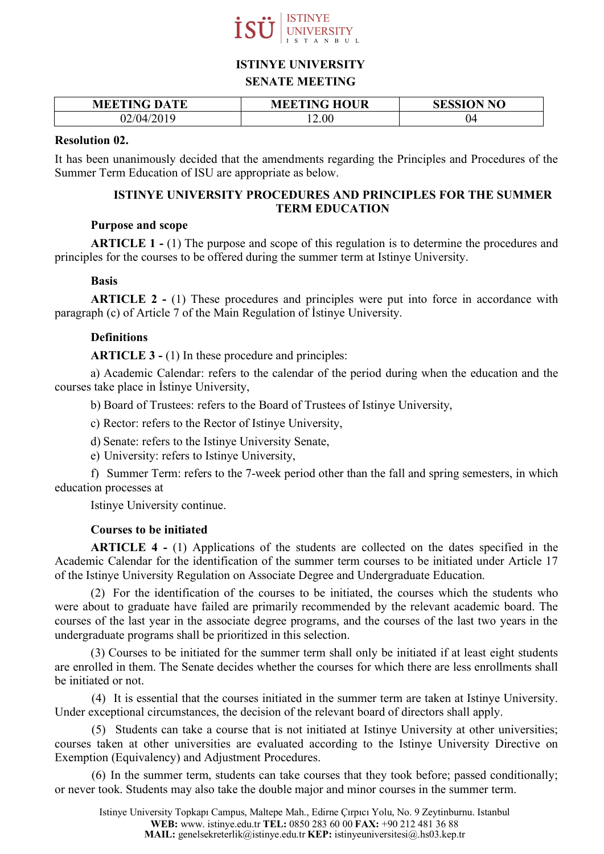

# **ISTINYE UNIVERSITY**

### **SENATE MEETING**

| <b>MEETING DATE</b> | <b>MEETING HOUR</b> | <b>SESSION NO</b> |
|---------------------|---------------------|-------------------|
| 2/04/2019           | 2.00                | 04                |

### **Resolution 02.**

It has been unanimously decided that the amendments regarding the Principles and Procedures of the Summer Term Education of ISU are appropriate as below.

# **ISTINYE UNIVERSITY PROCEDURES AND PRINCIPLES FOR THE SUMMER TERM EDUCATION**

### **Purpose and scope**

**ARTICLE 1 -** (1) The purpose and scope of this regulation is to determine the procedures and principles for the courses to be offered during the summer term at Istinye University.

# **Basis**

**ARTICLE 2 -** (1) These procedures and principles were put into force in accordance with paragraph (c) of Article 7 of the Main Regulation of İstinye University.

# **Definitions**

**ARTICLE 3 -** (1) In these procedure and principles:

a) Academic Calendar: refers to the calendar of the period during when the education and the courses take place in İstinye University,

b) Board of Trustees: refers to the Board of Trustees of Istinye University,

c) Rector: refers to the Rector of Istinye University,

d) Senate: refers to the Istinye University Senate,

e) University: refers to Istinye University,

f) Summer Term: refers to the 7-week period other than the fall and spring semesters, in which education processes at

Istinye University continue.

### **Courses to be initiated**

**ARTICLE 4 -** (1) Applications of the students are collected on the dates specified in the Academic Calendar for the identification of the summer term courses to be initiated under Article 17 of the Istinye University Regulation on Associate Degree and Undergraduate Education.

(2) For the identification of the courses to be initiated, the courses which the students who were about to graduate have failed are primarily recommended by the relevant academic board. The courses of the last year in the associate degree programs, and the courses of the last two years in the undergraduate programs shall be prioritized in this selection.

(3) Courses to be initiated for the summer term shall only be initiated if at least eight students are enrolled in them. The Senate decides whether the courses for which there are less enrollments shall be initiated or not.

(4) It is essential that the courses initiated in the summer term are taken at Istinye University. Under exceptional circumstances, the decision of the relevant board of directors shall apply.

(5) Students can take a course that is not initiated at Istinye University at other universities; courses taken at other universities are evaluated according to the Istinye University Directive on Exemption (Equivalency) and Adjustment Procedures.

(6) In the summer term, students can take courses that they took before; passed conditionally; or never took. Students may also take the double major and minor courses in the summer term.